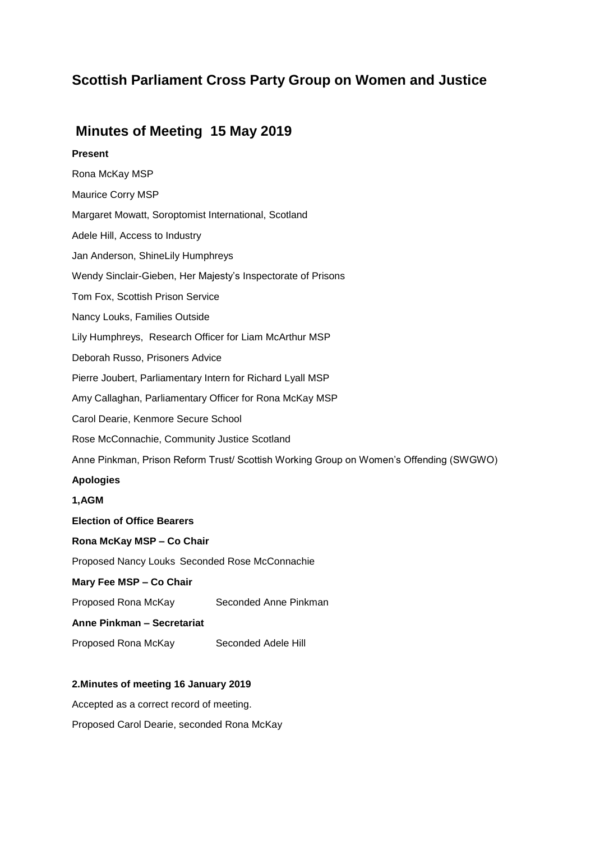# **Scottish Parliament Cross Party Group on Women and Justice**

## **Minutes of Meeting 15 May 2019**

## **Present**

Rona McKay MSP Maurice Corry MSP Margaret Mowatt, Soroptomist International, Scotland Adele Hill, Access to Industry Jan Anderson, ShineLily Humphreys Wendy Sinclair-Gieben, Her Majesty's Inspectorate of Prisons Tom Fox, Scottish Prison Service Nancy Louks, Families Outside Lily Humphreys, Research Officer for Liam McArthur MSP Deborah Russo, Prisoners Advice Pierre Joubert, Parliamentary Intern for Richard Lyall MSP Amy Callaghan, Parliamentary Officer for Rona McKay MSP Carol Dearie, Kenmore Secure School Rose McConnachie, Community Justice Scotland Anne Pinkman, Prison Reform Trust/ Scottish Working Group on Women's Offending (SWGWO) **Apologies 1,AGM Election of Office Bearers Rona McKay MSP – Co Chair** Proposed Nancy Louks Seconded Rose McConnachie **Mary Fee MSP – Co Chair** Proposed Rona McKay Seconded Anne Pinkman **Anne Pinkman – Secretariat** Proposed Rona McKay Seconded Adele Hill

## **2.Minutes of meeting 16 January 2019**

Accepted as a correct record of meeting.

Proposed Carol Dearie, seconded Rona McKay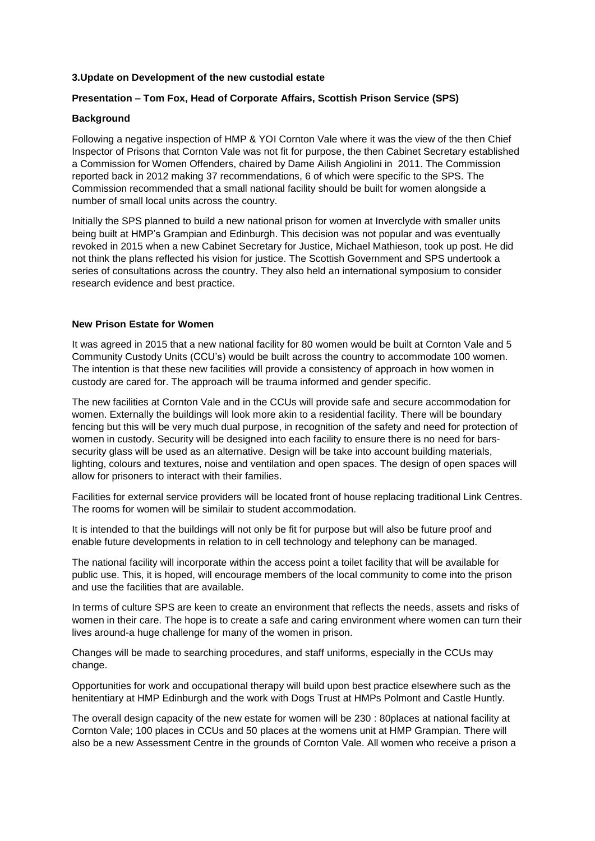## **3.Update on Development of the new custodial estate**

## **Presentation – Tom Fox, Head of Corporate Affairs, Scottish Prison Service (SPS)**

#### **Background**

Following a negative inspection of HMP & YOI Cornton Vale where it was the view of the then Chief Inspector of Prisons that Cornton Vale was not fit for purpose, the then Cabinet Secretary established a Commission for Women Offenders, chaired by Dame Ailish Angiolini in 2011. The Commission reported back in 2012 making 37 recommendations, 6 of which were specific to the SPS. The Commission recommended that a small national facility should be built for women alongside a number of small local units across the country.

Initially the SPS planned to build a new national prison for women at Inverclyde with smaller units being built at HMP's Grampian and Edinburgh. This decision was not popular and was eventually revoked in 2015 when a new Cabinet Secretary for Justice, Michael Mathieson, took up post. He did not think the plans reflected his vision for justice. The Scottish Government and SPS undertook a series of consultations across the country. They also held an international symposium to consider research evidence and best practice.

## **New Prison Estate for Women**

It was agreed in 2015 that a new national facility for 80 women would be built at Cornton Vale and 5 Community Custody Units (CCU's) would be built across the country to accommodate 100 women. The intention is that these new facilities will provide a consistency of approach in how women in custody are cared for. The approach will be trauma informed and gender specific.

The new facilities at Cornton Vale and in the CCUs will provide safe and secure accommodation for women. Externally the buildings will look more akin to a residential facility. There will be boundary fencing but this will be very much dual purpose, in recognition of the safety and need for protection of women in custody. Security will be designed into each facility to ensure there is no need for barssecurity glass will be used as an alternative. Design will be take into account building materials, lighting, colours and textures, noise and ventilation and open spaces. The design of open spaces will allow for prisoners to interact with their families.

Facilities for external service providers will be located front of house replacing traditional Link Centres. The rooms for women will be similair to student accommodation.

It is intended to that the buildings will not only be fit for purpose but will also be future proof and enable future developments in relation to in cell technology and telephony can be managed.

The national facility will incorporate within the access point a toilet facility that will be available for public use. This, it is hoped, will encourage members of the local community to come into the prison and use the facilities that are available.

In terms of culture SPS are keen to create an environment that reflects the needs, assets and risks of women in their care. The hope is to create a safe and caring environment where women can turn their lives around-a huge challenge for many of the women in prison.

Changes will be made to searching procedures, and staff uniforms, especially in the CCUs may change.

Opportunities for work and occupational therapy will build upon best practice elsewhere such as the henitentiary at HMP Edinburgh and the work with Dogs Trust at HMPs Polmont and Castle Huntly.

The overall design capacity of the new estate for women will be 230 : 80places at national facility at Cornton Vale; 100 places in CCUs and 50 places at the womens unit at HMP Grampian. There will also be a new Assessment Centre in the grounds of Cornton Vale. All women who receive a prison a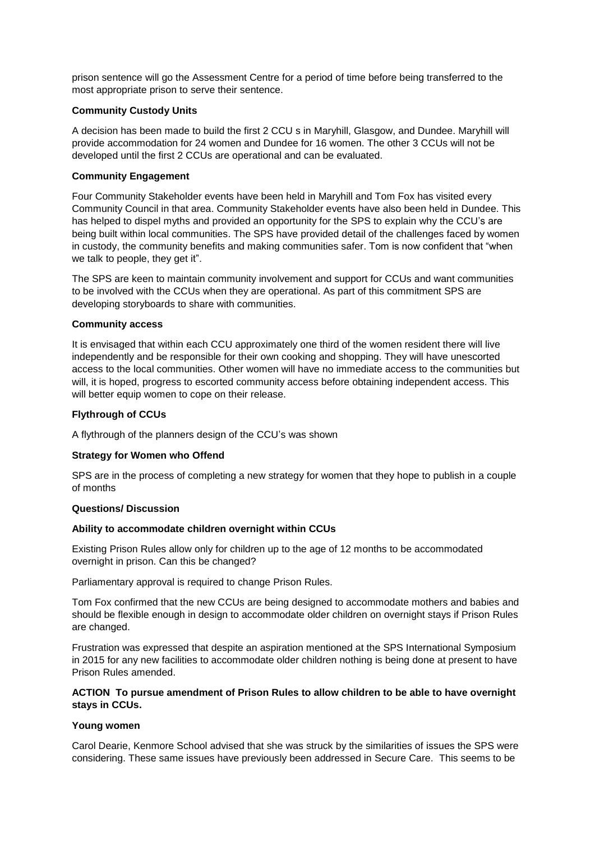prison sentence will go the Assessment Centre for a period of time before being transferred to the most appropriate prison to serve their sentence.

## **Community Custody Units**

A decision has been made to build the first 2 CCU s in Maryhill, Glasgow, and Dundee. Maryhill will provide accommodation for 24 women and Dundee for 16 women. The other 3 CCUs will not be developed until the first 2 CCUs are operational and can be evaluated.

#### **Community Engagement**

Four Community Stakeholder events have been held in Maryhill and Tom Fox has visited every Community Council in that area. Community Stakeholder events have also been held in Dundee. This has helped to dispel myths and provided an opportunity for the SPS to explain why the CCU's are being built within local communities. The SPS have provided detail of the challenges faced by women in custody, the community benefits and making communities safer. Tom is now confident that "when we talk to people, they get it".

The SPS are keen to maintain community involvement and support for CCUs and want communities to be involved with the CCUs when they are operational. As part of this commitment SPS are developing storyboards to share with communities.

## **Community access**

It is envisaged that within each CCU approximately one third of the women resident there will live independently and be responsible for their own cooking and shopping. They will have unescorted access to the local communities. Other women will have no immediate access to the communities but will, it is hoped, progress to escorted community access before obtaining independent access. This will better equip women to cope on their release.

## **Flythrough of CCUs**

A flythrough of the planners design of the CCU's was shown

## **Strategy for Women who Offend**

SPS are in the process of completing a new strategy for women that they hope to publish in a couple of months

#### **Questions/ Discussion**

#### **Ability to accommodate children overnight within CCUs**

Existing Prison Rules allow only for children up to the age of 12 months to be accommodated overnight in prison. Can this be changed?

Parliamentary approval is required to change Prison Rules.

Tom Fox confirmed that the new CCUs are being designed to accommodate mothers and babies and should be flexible enough in design to accommodate older children on overnight stays if Prison Rules are changed.

Frustration was expressed that despite an aspiration mentioned at the SPS International Symposium in 2015 for any new facilities to accommodate older children nothing is being done at present to have Prison Rules amended.

## **ACTION To pursue amendment of Prison Rules to allow children to be able to have overnight stays in CCUs.**

## **Young women**

Carol Dearie, Kenmore School advised that she was struck by the similarities of issues the SPS were considering. These same issues have previously been addressed in Secure Care. This seems to be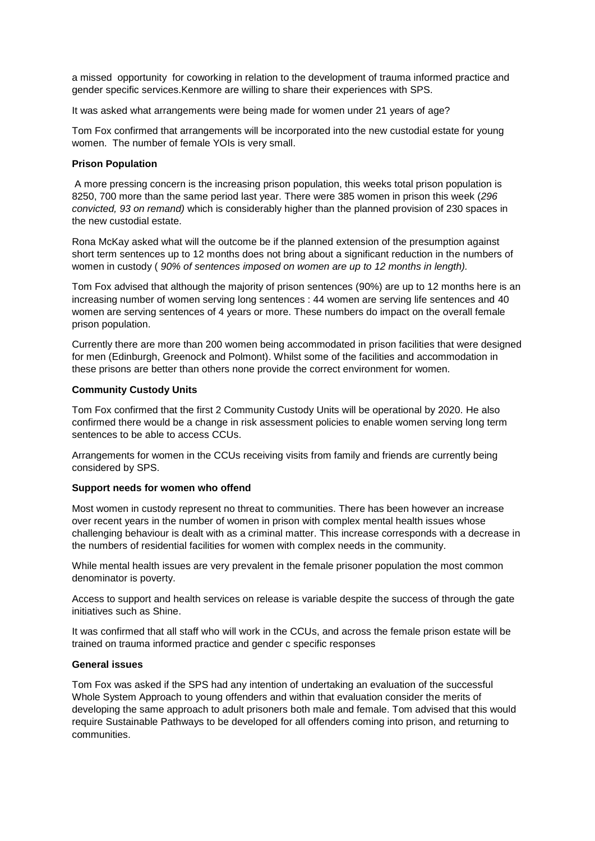a missed opportunity for coworking in relation to the development of trauma informed practice and gender specific services.Kenmore are willing to share their experiences with SPS.

It was asked what arrangements were being made for women under 21 years of age?

Tom Fox confirmed that arrangements will be incorporated into the new custodial estate for young women. The number of female YOIs is very small.

#### **Prison Population**

A more pressing concern is the increasing prison population, this weeks total prison population is 8250, 700 more than the same period last year. There were 385 women in prison this week (*296 convicted, 93 on remand)* which is considerably higher than the planned provision of 230 spaces in the new custodial estate.

Rona McKay asked what will the outcome be if the planned extension of the presumption against short term sentences up to 12 months does not bring about a significant reduction in the numbers of women in custody ( *90% of sentences imposed on women are up to 12 months in length).*

Tom Fox advised that although the majority of prison sentences (90%) are up to 12 months here is an increasing number of women serving long sentences : 44 women are serving life sentences and 40 women are serving sentences of 4 years or more. These numbers do impact on the overall female prison population.

Currently there are more than 200 women being accommodated in prison facilities that were designed for men (Edinburgh, Greenock and Polmont). Whilst some of the facilities and accommodation in these prisons are better than others none provide the correct environment for women.

## **Community Custody Units**

Tom Fox confirmed that the first 2 Community Custody Units will be operational by 2020. He also confirmed there would be a change in risk assessment policies to enable women serving long term sentences to be able to access CCUs.

Arrangements for women in the CCUs receiving visits from family and friends are currently being considered by SPS.

#### **Support needs for women who offend**

Most women in custody represent no threat to communities. There has been however an increase over recent years in the number of women in prison with complex mental health issues whose challenging behaviour is dealt with as a criminal matter. This increase corresponds with a decrease in the numbers of residential facilities for women with complex needs in the community.

While mental health issues are very prevalent in the female prisoner population the most common denominator is poverty.

Access to support and health services on release is variable despite the success of through the gate initiatives such as Shine.

It was confirmed that all staff who will work in the CCUs, and across the female prison estate will be trained on trauma informed practice and gender c specific responses

#### **General issues**

Tom Fox was asked if the SPS had any intention of undertaking an evaluation of the successful Whole System Approach to young offenders and within that evaluation consider the merits of developing the same approach to adult prisoners both male and female. Tom advised that this would require Sustainable Pathways to be developed for all offenders coming into prison, and returning to communities.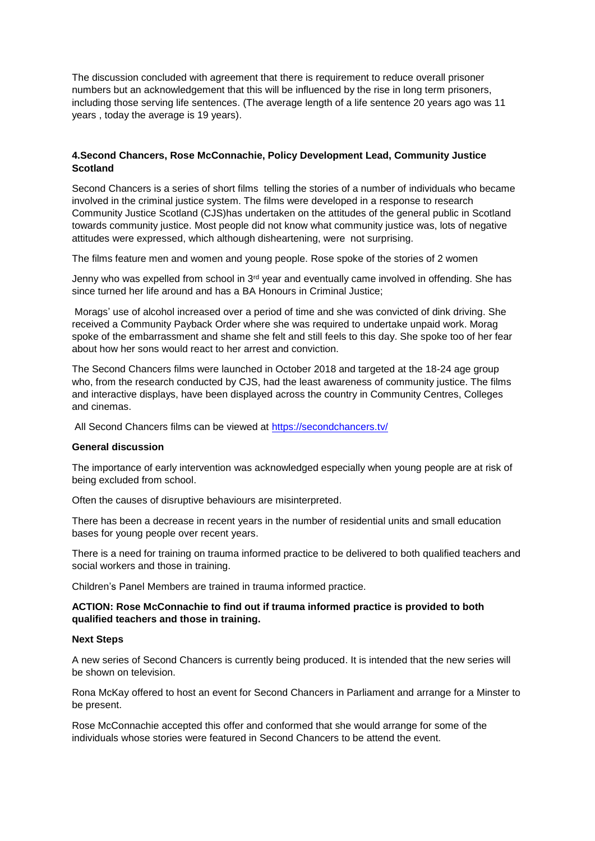The discussion concluded with agreement that there is requirement to reduce overall prisoner numbers but an acknowledgement that this will be influenced by the rise in long term prisoners, including those serving life sentences. (The average length of a life sentence 20 years ago was 11 years , today the average is 19 years).

## **4.Second Chancers, Rose McConnachie, Policy Development Lead, Community Justice Scotland**

Second Chancers is a series of short films telling the stories of a number of individuals who became involved in the criminal justice system. The films were developed in a response to research Community Justice Scotland (CJS)has undertaken on the attitudes of the general public in Scotland towards community justice. Most people did not know what community justice was, lots of negative attitudes were expressed, which although disheartening, were not surprising.

The films feature men and women and young people. Rose spoke of the stories of 2 women

Jenny who was expelled from school in 3<sup>rd</sup> year and eventually came involved in offending. She has since turned her life around and has a BA Honours in Criminal Justice;

Morags' use of alcohol increased over a period of time and she was convicted of dink driving. She received a Community Payback Order where she was required to undertake unpaid work. Morag spoke of the embarrassment and shame she felt and still feels to this day. She spoke too of her fear about how her sons would react to her arrest and conviction.

The Second Chancers films were launched in October 2018 and targeted at the 18-24 age group who, from the research conducted by CJS, had the least awareness of community justice. The films and interactive displays, have been displayed across the country in Community Centres, Colleges and cinemas.

All Second Chancers films can be viewed at <https://secondchancers.tv/>

#### **General discussion**

The importance of early intervention was acknowledged especially when young people are at risk of being excluded from school.

Often the causes of disruptive behaviours are misinterpreted.

There has been a decrease in recent years in the number of residential units and small education bases for young people over recent years.

There is a need for training on trauma informed practice to be delivered to both qualified teachers and social workers and those in training.

Children's Panel Members are trained in trauma informed practice.

## **ACTION: Rose McConnachie to find out if trauma informed practice is provided to both qualified teachers and those in training.**

#### **Next Steps**

A new series of Second Chancers is currently being produced. It is intended that the new series will be shown on television.

Rona McKay offered to host an event for Second Chancers in Parliament and arrange for a Minster to be present.

Rose McConnachie accepted this offer and conformed that she would arrange for some of the individuals whose stories were featured in Second Chancers to be attend the event.